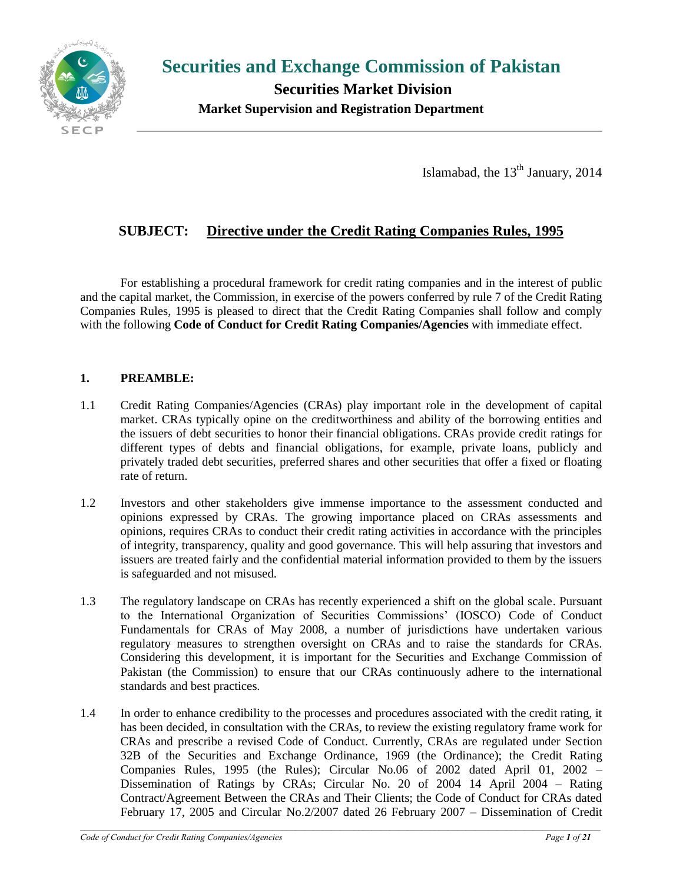

**Securities and Exchange Commission of Pakistan**

 **Securities Market Division Market Supervision and Registration Department**

Islamabad, the  $13<sup>th</sup>$  January, 2014

# **SUBJECT: Directive under the Credit Rating Companies Rules, 1995**

For establishing a procedural framework for credit rating companies and in the interest of public and the capital market, the Commission, in exercise of the powers conferred by rule 7 of the Credit Rating Companies Rules, 1995 is pleased to direct that the Credit Rating Companies shall follow and comply with the following **Code of Conduct for Credit Rating Companies/Agencies** with immediate effect.

### **1. PREAMBLE:**

- 1.1 Credit Rating Companies/Agencies (CRAs) play important role in the development of capital market. CRAs typically opine on the creditworthiness and ability of the borrowing entities and the issuers of debt securities to honor their financial obligations. CRAs provide credit ratings for different types of debts and financial obligations, for example, private loans, publicly and privately traded debt securities, preferred shares and other securities that offer a fixed or floating rate of return.
- 1.2 Investors and other stakeholders give immense importance to the assessment conducted and opinions expressed by CRAs. The growing importance placed on CRAs assessments and opinions, requires CRAs to conduct their credit rating activities in accordance with the principles of integrity, transparency, quality and good governance. This will help assuring that investors and issuers are treated fairly and the confidential material information provided to them by the issuers is safeguarded and not misused.
- 1.3 The regulatory landscape on CRAs has recently experienced a shift on the global scale. Pursuant to the International Organization of Securities Commissions' (IOSCO) Code of Conduct Fundamentals for CRAs of May 2008, a number of jurisdictions have undertaken various regulatory measures to strengthen oversight on CRAs and to raise the standards for CRAs. Considering this development, it is important for the Securities and Exchange Commission of Pakistan (the Commission) to ensure that our CRAs continuously adhere to the international standards and best practices.
- 1.4 In order to enhance credibility to the processes and procedures associated with the credit rating, it has been decided, in consultation with the CRAs, to review the existing regulatory frame work for CRAs and prescribe a revised Code of Conduct. Currently, CRAs are regulated under Section 32B of the Securities and Exchange Ordinance, 1969 (the Ordinance); the [Credit Rating](file:///C:/Users/amkhan/Documents/Director-2011-12/CRAs/Committee/Report(iii)%20of%20the%20Committee/Credit%20Rating%20Rules,%201995.pdf)  [Companies Rules, 1995 \(the Rules\)](file:///C:/Users/amkhan/Documents/Director-2011-12/CRAs/Committee/Report(iii)%20of%20the%20Committee/Credit%20Rating%20Rules,%201995.pdf); Circular No.06 of 2002 dated April 01, 2002 – Dissemination of Ratings by CRAs; Circular No. 20 of 2004 14 April 2004 – Rating Contract/Agreement Between the CRAs and Their Clients; the Code of Conduct for CRAs dated February 17, 2005 and Circular No.2/2007 dated 26 February 2007 – Dissemination of Credit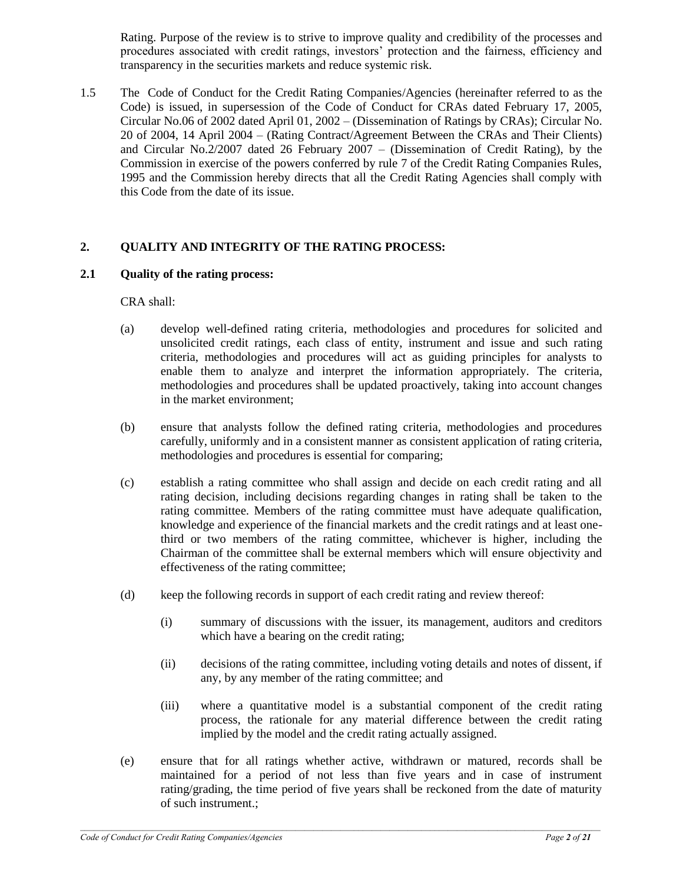Rating. Purpose of the review is to strive to improve quality and credibility of the processes and procedures associated with credit ratings, investors' protection and the fairness, efficiency and transparency in the securities markets and reduce systemic risk.

1.5 The Code of Conduct for the Credit Rating Companies/Agencies (hereinafter referred to as the Code) is issued, in supersession of the Code of Conduct for CRAs dated February 17, 2005, Circular No.06 of 2002 dated April 01, 2002 – (Dissemination of Ratings by CRAs); Circular No. 20 of 2004, 14 April 2004 – (Rating Contract/Agreement Between the CRAs and Their Clients) and Circular No.2/2007 dated 26 February 2007 – (Dissemination of Credit Rating), by the Commission in exercise of the powers conferred by rule 7 of the Credit Rating Companies Rules, 1995 and the Commission hereby directs that all the Credit Rating Agencies shall comply with this Code from the date of its issue.

# **2. QUALITY AND INTEGRITY OF THE RATING PROCESS:**

### **2.1 Quality of the rating process:**

CRA shall:

- (a) develop well-defined rating criteria, methodologies and procedures for solicited and unsolicited credit ratings, each class of entity, instrument and issue and such rating criteria, methodologies and procedures will act as guiding principles for analysts to enable them to analyze and interpret the information appropriately. The criteria, methodologies and procedures shall be updated proactively, taking into account changes in the market environment;
- (b) ensure that analysts follow the defined rating criteria, methodologies and procedures carefully, uniformly and in a consistent manner as consistent application of rating criteria, methodologies and procedures is essential for comparing;
- (c) establish a rating committee who shall assign and decide on each credit rating and all rating decision, including decisions regarding changes in rating shall be taken to the rating committee. Members of the rating committee must have adequate qualification, knowledge and experience of the financial markets and the credit ratings and at least onethird or two members of the rating committee, whichever is higher, including the Chairman of the committee shall be external members which will ensure objectivity and effectiveness of the rating committee;
- (d) keep the following records in support of each credit rating and review thereof:
	- (i) summary of discussions with the issuer, its management, auditors and creditors which have a bearing on the credit rating;
	- (ii) decisions of the rating committee, including voting details and notes of dissent, if any, by any member of the rating committee; and
	- (iii) where a quantitative model is a substantial component of the credit rating process, the rationale for any material difference between the credit rating implied by the model and the credit rating actually assigned.
- (e) ensure that for all ratings whether active, withdrawn or matured, records shall be maintained for a period of not less than five years and in case of instrument rating/grading, the time period of five years shall be reckoned from the date of maturity of such instrument.;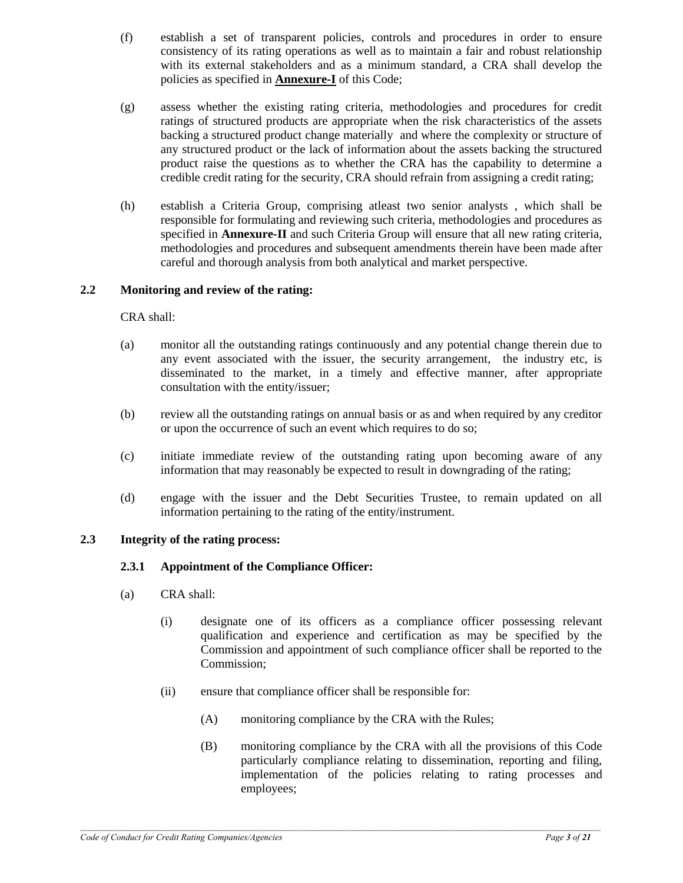- (f) establish a set of transparent policies, controls and procedures in order to ensure consistency of its rating operations as well as to maintain a fair and robust relationship with its external stakeholders and as a minimum standard, a CRA shall develop the policies as specified in **Annexure-I** of this Code;
- (g) assess whether the existing rating criteria, methodologies and procedures for credit ratings of structured products are appropriate when the risk characteristics of the assets backing a structured product change materially and where the complexity or structure of any structured product or the lack of information about the assets backing the structured product raise the questions as to whether the CRA has the capability to determine a credible credit rating for the security, CRA should refrain from assigning a credit rating;
- (h) establish a Criteria Group, comprising atleast two senior analysts , which shall be responsible for formulating and reviewing such criteria, methodologies and procedures as specified in **Annexure-II** and such Criteria Group will ensure that all new rating criteria, methodologies and procedures and subsequent amendments therein have been made after careful and thorough analysis from both analytical and market perspective.

# **2.2 Monitoring and review of the rating:**

CRA shall:

- (a) monitor all the outstanding ratings continuously and any potential change therein due to any event associated with the issuer, the security arrangement, the industry etc, is disseminated to the market, in a timely and effective manner, after appropriate consultation with the entity/issuer;
- (b) review all the outstanding ratings on annual basis or as and when required by any creditor or upon the occurrence of such an event which requires to do so;
- (c) initiate immediate review of the outstanding rating upon becoming aware of any information that may reasonably be expected to result in downgrading of the rating;
- (d) engage with the issuer and the Debt Securities Trustee, to remain updated on all information pertaining to the rating of the entity/instrument.

# **2.3 Integrity of the rating process:**

# **2.3.1 Appointment of the Compliance Officer:**

- (a) CRA shall:
	- (i) designate one of its officers as a compliance officer possessing relevant qualification and experience and certification as may be specified by the Commission and appointment of such compliance officer shall be reported to the Commission;
	- (ii) ensure that compliance officer shall be responsible for:
		- (A) monitoring compliance by the CRA with the Rules;
		- (B) monitoring compliance by the CRA with all the provisions of this Code particularly compliance relating to dissemination, reporting and filing, implementation of the policies relating to rating processes and employees;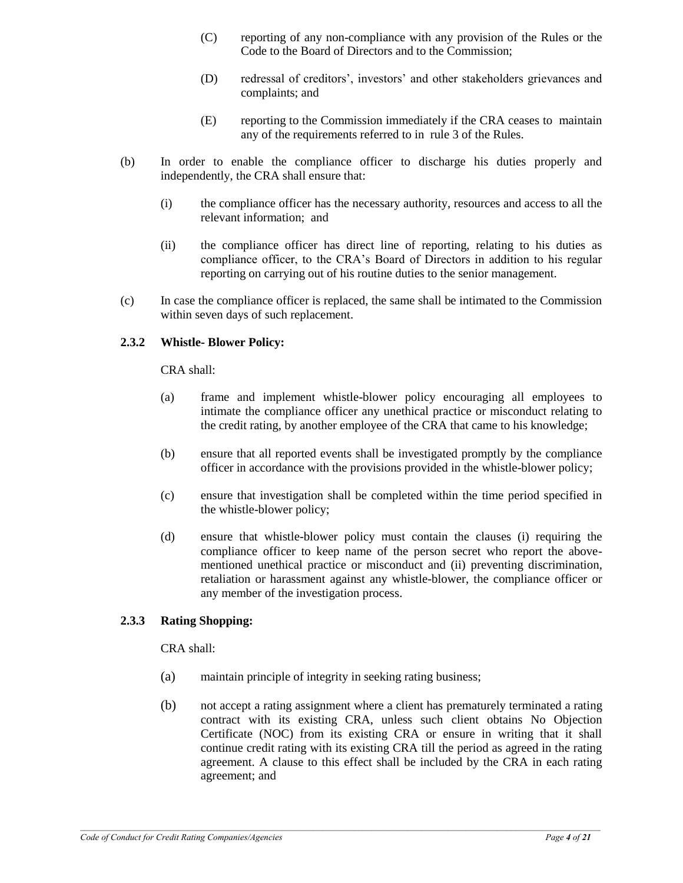- (C) reporting of any non-compliance with any provision of the Rules or the Code to the Board of Directors and to the Commission;
- (D) redressal of creditors', investors' and other stakeholders grievances and complaints; and
- (E) reporting to the Commission immediately if the CRA ceases to maintain any of the requirements referred to in rule 3 of the Rules.
- (b) In order to enable the compliance officer to discharge his duties properly and independently, the CRA shall ensure that:
	- (i) the compliance officer has the necessary authority, resources and access to all the relevant information; and
	- (ii) the compliance officer has direct line of reporting, relating to his duties as compliance officer, to the CRA's Board of Directors in addition to his regular reporting on carrying out of his routine duties to the senior management.
- (c) In case the compliance officer is replaced, the same shall be intimated to the Commission within seven days of such replacement.

### **2.3.2 Whistle- Blower Policy:**

CRA shall:

- (a) frame and implement whistle-blower policy encouraging all employees to intimate the compliance officer any unethical practice or misconduct relating to the credit rating, by another employee of the CRA that came to his knowledge;
- (b) ensure that all reported events shall be investigated promptly by the compliance officer in accordance with the provisions provided in the whistle-blower policy;
- (c) ensure that investigation shall be completed within the time period specified in the whistle-blower policy;
- (d) ensure that whistle-blower policy must contain the clauses (i) requiring the compliance officer to keep name of the person secret who report the abovementioned unethical practice or misconduct and (ii) preventing discrimination, retaliation or harassment against any whistle-blower, the compliance officer or any member of the investigation process.

### **2.3.3 Rating Shopping:**

CRA shall:

- (a) maintain principle of integrity in seeking rating business;
- (b) not accept a rating assignment where a client has prematurely terminated a rating contract with its existing CRA, unless such client obtains No Objection Certificate (NOC) from its existing CRA or ensure in writing that it shall continue credit rating with its existing CRA till the period as agreed in the rating agreement. A clause to this effect shall be included by the CRA in each rating agreement; and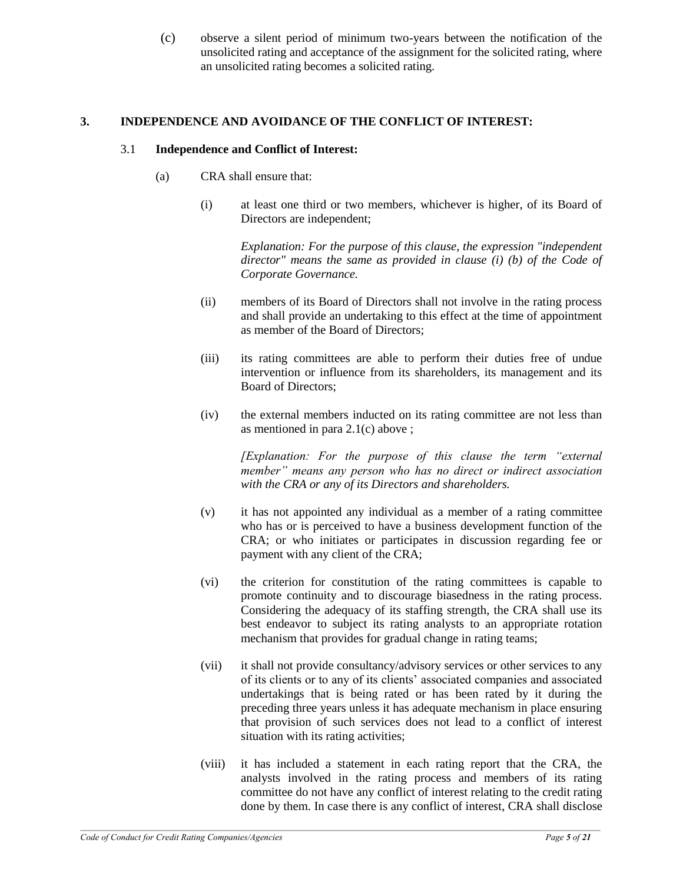(c) observe a silent period of minimum two-years between the notification of the unsolicited rating and acceptance of the assignment for the solicited rating, where an unsolicited rating becomes a solicited rating.

#### **3. INDEPENDENCE AND AVOIDANCE OF THE CONFLICT OF INTEREST:**

#### 3.1 **Independence and Conflict of Interest:**

- (a) CRA shall ensure that:
	- (i) at least one third or two members, whichever is higher, of its Board of Directors are independent;

*Explanation: For the purpose of this clause, the expression "independent director" means the same as provided in clause (i) (b) of the Code of Corporate Governance.*

- (ii) members of its Board of Directors shall not involve in the rating process and shall provide an undertaking to this effect at the time of appointment as member of the Board of Directors;
- (iii) its rating committees are able to perform their duties free of undue intervention or influence from its shareholders, its management and its Board of Directors;
- (iv) the external members inducted on its rating committee are not less than as mentioned in para 2.1(c) above ;

*[Explanation: For the purpose of this clause the term "external member" means any person who has no direct or indirect association with the CRA or any of its Directors and shareholders.* 

- (v) it has not appointed any individual as a member of a rating committee who has or is perceived to have a business development function of the CRA; or who initiates or participates in discussion regarding fee or payment with any client of the CRA;
- (vi) the criterion for constitution of the rating committees is capable to promote continuity and to discourage biasedness in the rating process. Considering the adequacy of its staffing strength, the CRA shall use its best endeavor to subject its rating analysts to an appropriate rotation mechanism that provides for gradual change in rating teams;
- (vii) it shall not provide consultancy/advisory services or other services to any of its clients or to any of its clients' associated companies and associated undertakings that is being rated or has been rated by it during the preceding three years unless it has adequate mechanism in place ensuring that provision of such services does not lead to a conflict of interest situation with its rating activities;
- (viii) it has included a statement in each rating report that the CRA, the analysts involved in the rating process and members of its rating committee do not have any conflict of interest relating to the credit rating done by them. In case there is any conflict of interest, CRA shall disclose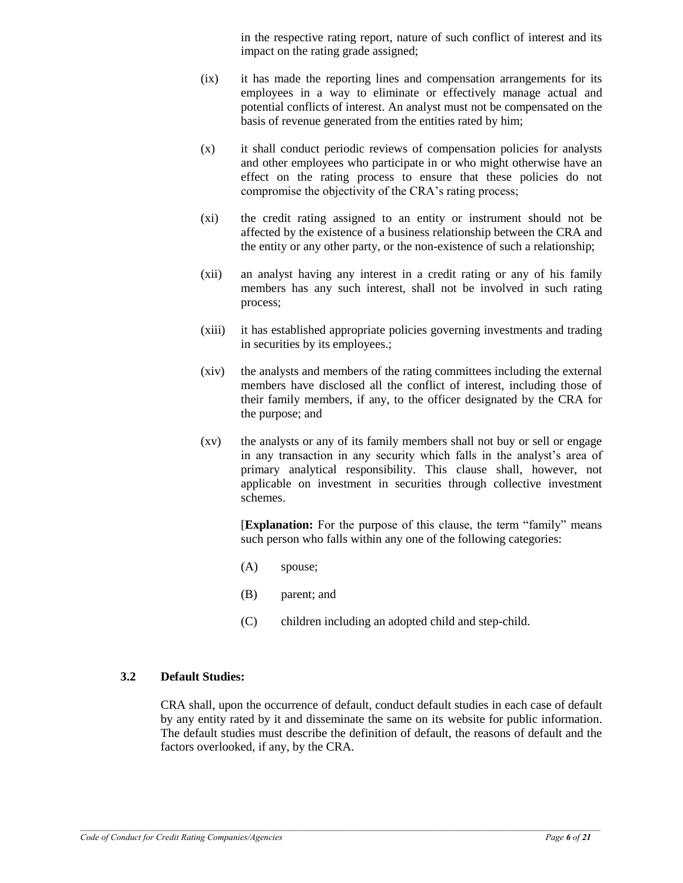in the respective rating report, nature of such conflict of interest and its impact on the rating grade assigned;

- (ix) it has made the reporting lines and compensation arrangements for its employees in a way to eliminate or effectively manage actual and potential conflicts of interest. An analyst must not be compensated on the basis of revenue generated from the entities rated by him;
- (x) it shall conduct periodic reviews of compensation policies for analysts and other employees who participate in or who might otherwise have an effect on the rating process to ensure that these policies do not compromise the objectivity of the CRA's rating process;
- (xi) the credit rating assigned to an entity or instrument should not be affected by the existence of a business relationship between the CRA and the entity or any other party, or the non-existence of such a relationship;
- (xii) an analyst having any interest in a credit rating or any of his family members has any such interest, shall not be involved in such rating process;
- (xiii) it has established appropriate policies governing investments and trading in securities by its employees.;
- (xiv) the analysts and members of the rating committees including the external members have disclosed all the conflict of interest, including those of their family members, if any, to the officer designated by the CRA for the purpose; and
- (xv) the analysts or any of its family members shall not buy or sell or engage in any transaction in any security which falls in the analyst's area of primary analytical responsibility. This clause shall, however, not applicable on investment in securities through collective investment schemes.

[**Explanation:** For the purpose of this clause, the term "family" means such person who falls within any one of the following categories:

- (A) spouse;
- (B) parent; and
- (C) children including an adopted child and step-child.

### **3.2 Default Studies:**

CRA shall, upon the occurrence of default, conduct default studies in each case of default by any entity rated by it and disseminate the same on its website for public information. The default studies must describe the definition of default, the reasons of default and the factors overlooked, if any, by the CRA.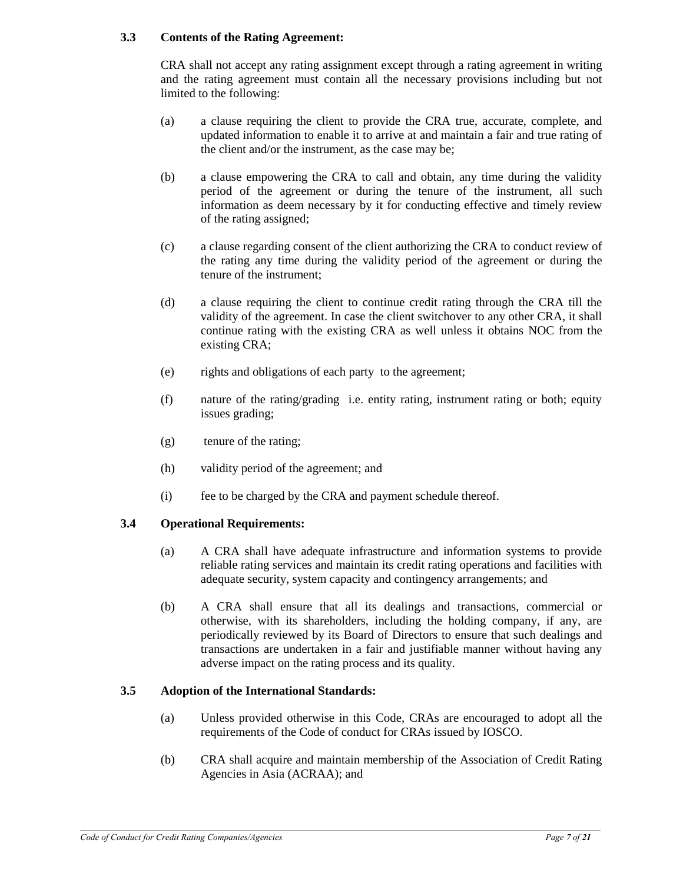# **3.3 Contents of the Rating Agreement:**

CRA shall not accept any rating assignment except through a rating agreement in writing and the rating agreement must contain all the necessary provisions including but not limited to the following:

- (a) a clause requiring the client to provide the CRA true, accurate, complete, and updated information to enable it to arrive at and maintain a fair and true rating of the client and/or the instrument, as the case may be;
- (b) a clause empowering the CRA to call and obtain, any time during the validity period of the agreement or during the tenure of the instrument, all such information as deem necessary by it for conducting effective and timely review of the rating assigned;
- (c) a clause regarding consent of the client authorizing the CRA to conduct review of the rating any time during the validity period of the agreement or during the tenure of the instrument;
- (d) a clause requiring the client to continue credit rating through the CRA till the validity of the agreement. In case the client switchover to any other CRA, it shall continue rating with the existing CRA as well unless it obtains NOC from the existing CRA;
- (e) rights and obligations of each party to the agreement;
- (f) nature of the rating/grading i.e. entity rating, instrument rating or both; equity issues grading;
- (g) tenure of the rating;
- (h) validity period of the agreement; and
- (i) fee to be charged by the CRA and payment schedule thereof.

# **3.4 Operational Requirements:**

- (a) A CRA shall have adequate infrastructure and information systems to provide reliable rating services and maintain its credit rating operations and facilities with adequate security, system capacity and contingency arrangements; and
- (b) A CRA shall ensure that all its dealings and transactions, commercial or otherwise, with its shareholders, including the holding company, if any, are periodically reviewed by its Board of Directors to ensure that such dealings and transactions are undertaken in a fair and justifiable manner without having any adverse impact on the rating process and its quality.

### **3.5 Adoption of the International Standards:**

- (a) Unless provided otherwise in this Code, CRAs are encouraged to adopt all the requirements of the Code of conduct for CRAs issued by IOSCO.
- (b) CRA shall acquire and maintain membership of the Association of Credit Rating Agencies in Asia (ACRAA); and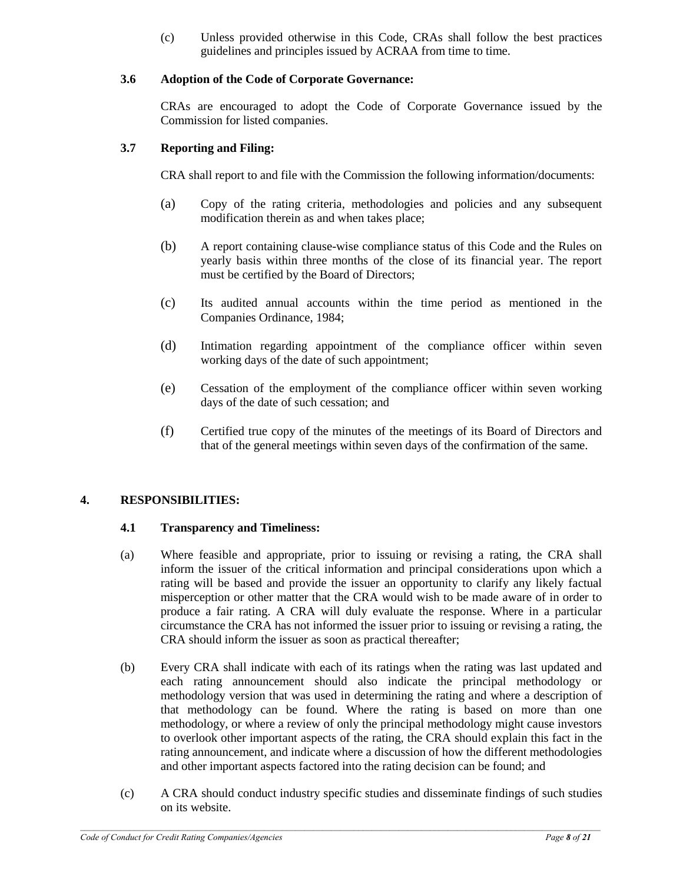(c) Unless provided otherwise in this Code, CRAs shall follow the best practices guidelines and principles issued by ACRAA from time to time.

# **3.6 Adoption of the Code of Corporate Governance:**

CRAs are encouraged to adopt the Code of Corporate Governance issued by the Commission for listed companies.

# **3.7 Reporting and Filing:**

CRA shall report to and file with the Commission the following information/documents:

- (a) Copy of the rating criteria, methodologies and policies and any subsequent modification therein as and when takes place;
- (b) A report containing clause-wise compliance status of this Code and the Rules on yearly basis within three months of the close of its financial year. The report must be certified by the Board of Directors;
- (c) Its audited annual accounts within the time period as mentioned in the Companies Ordinance, 1984;
- (d) Intimation regarding appointment of the compliance officer within seven working days of the date of such appointment;
- (e) Cessation of the employment of the compliance officer within seven working days of the date of such cessation; and
- (f) Certified true copy of the minutes of the meetings of its Board of Directors and that of the general meetings within seven days of the confirmation of the same.

# **4. RESPONSIBILITIES:**

### **4.1 Transparency and Timeliness:**

- (a) Where feasible and appropriate, prior to issuing or revising a rating, the CRA shall inform the issuer of the critical information and principal considerations upon which a rating will be based and provide the issuer an opportunity to clarify any likely factual misperception or other matter that the CRA would wish to be made aware of in order to produce a fair rating. A CRA will duly evaluate the response. Where in a particular circumstance the CRA has not informed the issuer prior to issuing or revising a rating, the CRA should inform the issuer as soon as practical thereafter;
- (b) Every CRA shall indicate with each of its ratings when the rating was last updated and each rating announcement should also indicate the principal methodology or methodology version that was used in determining the rating and where a description of that methodology can be found. Where the rating is based on more than one methodology, or where a review of only the principal methodology might cause investors to overlook other important aspects of the rating, the CRA should explain this fact in the rating announcement, and indicate where a discussion of how the different methodologies and other important aspects factored into the rating decision can be found; and
- (c) A CRA should conduct industry specific studies and disseminate findings of such studies on its website.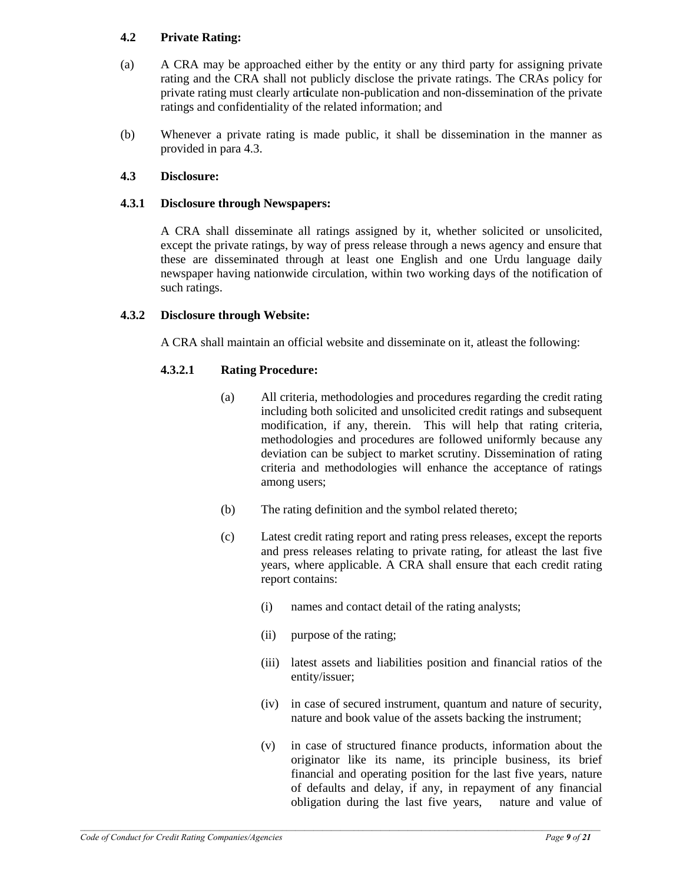# **4.2 Private Rating:**

- (a) A CRA may be approached either by the entity or any third party for assigning private rating and the CRA shall not publicly disclose the private ratings. The CRAs policy for private rating must clearly art**i**culate non-publication and non-dissemination of the private ratings and confidentiality of the related information; and
- (b) Whenever a private rating is made public, it shall be dissemination in the manner as provided in para 4.3.

### **4.3 Disclosure:**

### **4.3.1 Disclosure through Newspapers:**

A CRA shall disseminate all ratings assigned by it, whether solicited or unsolicited, except the private ratings, by way of press release through a news agency and ensure that these are disseminated through at least one English and one Urdu language daily newspaper having nationwide circulation, within two working days of the notification of such ratings.

### **4.3.2 Disclosure through Website:**

A CRA shall maintain an official website and disseminate on it, atleast the following:

### **4.3.2.1 Rating Procedure:**

- (a) All criteria, methodologies and procedures regarding the credit rating including both solicited and unsolicited credit ratings and subsequent modification, if any, therein. This will help that rating criteria, methodologies and procedures are followed uniformly because any deviation can be subject to market scrutiny. Dissemination of rating criteria and methodologies will enhance the acceptance of ratings among users;
- (b) The rating definition and the symbol related thereto;
- (c) Latest credit rating report and rating press releases, except the reports and press releases relating to private rating, for atleast the last five years, where applicable. A CRA shall ensure that each credit rating report contains:
	- (i) names and contact detail of the rating analysts;
	- (ii) purpose of the rating;
	- (iii) latest assets and liabilities position and financial ratios of the entity/issuer;
	- (iv) in case of secured instrument, quantum and nature of security, nature and book value of the assets backing the instrument;
	- (v) in case of structured finance products, information about the originator like its name, its principle business, its brief financial and operating position for the last five years, nature of defaults and delay, if any, in repayment of any financial obligation during the last five years, nature and value of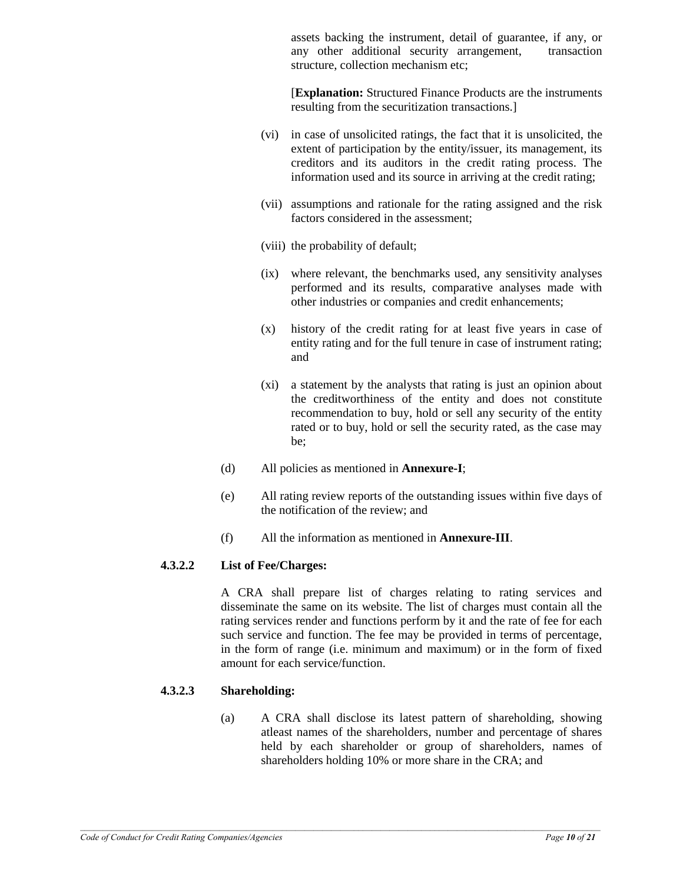assets backing the instrument, detail of guarantee, if any, or any other additional security arrangement, transaction structure, collection mechanism etc;

[**Explanation:** Structured Finance Products are the instruments resulting from the securitization transactions.]

- (vi) in case of unsolicited ratings, the fact that it is unsolicited, the extent of participation by the entity/issuer, its management, its creditors and its auditors in the credit rating process. The information used and its source in arriving at the credit rating;
- (vii) assumptions and rationale for the rating assigned and the risk factors considered in the assessment;
- (viii) the probability of default;
- (ix) where relevant, the benchmarks used, any sensitivity analyses performed and its results, comparative analyses made with other industries or companies and credit enhancements;
- (x) history of the credit rating for at least five years in case of entity rating and for the full tenure in case of instrument rating; and
- (xi) a statement by the analysts that rating is just an opinion about the creditworthiness of the entity and does not constitute recommendation to buy, hold or sell any security of the entity rated or to buy, hold or sell the security rated, as the case may be;
- (d) All policies as mentioned in **Annexure-I**;
- (e) All rating review reports of the outstanding issues within five days of the notification of the review; and
- (f) All the information as mentioned in **Annexure-III**.

# **4.3.2.2 List of Fee/Charges:**

A CRA shall prepare list of charges relating to rating services and disseminate the same on its website. The list of charges must contain all the rating services render and functions perform by it and the rate of fee for each such service and function. The fee may be provided in terms of percentage, in the form of range (i.e. minimum and maximum) or in the form of fixed amount for each service/function.

# **4.3.2.3 Shareholding:**

(a) A CRA shall disclose its latest pattern of shareholding, showing atleast names of the shareholders, number and percentage of shares held by each shareholder or group of shareholders, names of shareholders holding 10% or more share in the CRA; and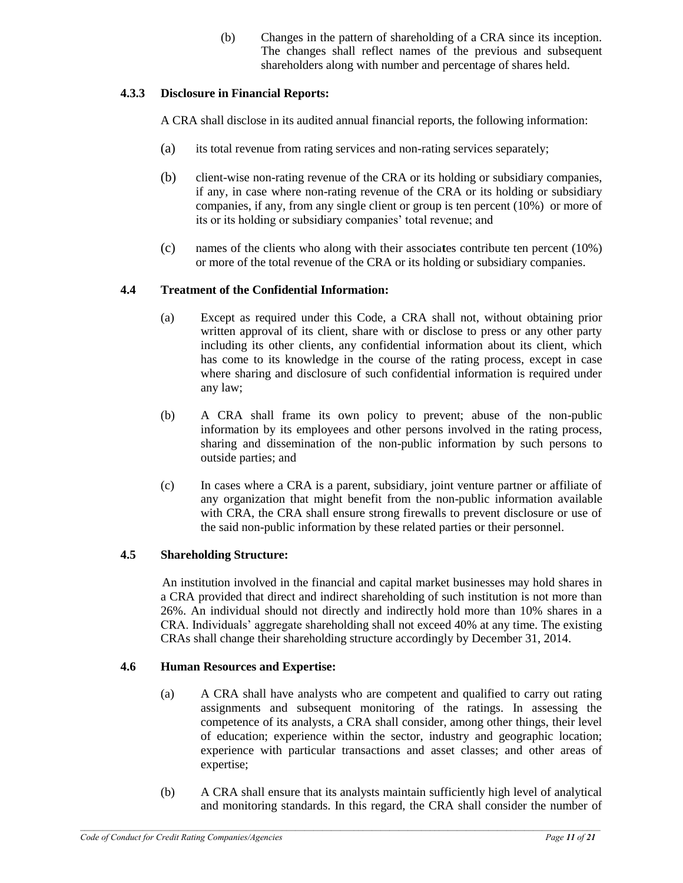(b) Changes in the pattern of shareholding of a CRA since its inception. The changes shall reflect names of the previous and subsequent shareholders along with number and percentage of shares held.

# **4.3.3 Disclosure in Financial Reports:**

A CRA shall disclose in its audited annual financial reports, the following information:

- (a) its total revenue from rating services and non-rating services separately;
- (b) client-wise non-rating revenue of the CRA or its holding or subsidiary companies, if any, in case where non-rating revenue of the CRA or its holding or subsidiary companies, if any, from any single client or group is ten percent (10%) or more of its or its holding or subsidiary companies' total revenue; and
- (c) names of the clients who along with their associa**t**es contribute ten percent (10%) or more of the total revenue of the CRA or its holding or subsidiary companies.

# **4.4 Treatment of the Confidential Information:**

- (a) Except as required under this Code, a CRA shall not, without obtaining prior written approval of its client, share with or disclose to press or any other party including its other clients, any confidential information about its client, which has come to its knowledge in the course of the rating process, except in case where sharing and disclosure of such confidential information is required under any law;
- (b) A CRA shall frame its own policy to prevent; abuse of the non-public information by its employees and other persons involved in the rating process, sharing and dissemination of the non-public information by such persons to outside parties; and
- (c) In cases where a CRA is a parent, subsidiary, joint venture partner or affiliate of any organization that might benefit from the non-public information available with CRA, the CRA shall ensure strong firewalls to prevent disclosure or use of the said non-public information by these related parties or their personnel.

# **4.5 Shareholding Structure:**

 An institution involved in the financial and capital market businesses may hold shares in a CRA provided that direct and indirect shareholding of such institution is not more than 26%. An individual should not directly and indirectly hold more than 10% shares in a CRA. Individuals' aggregate shareholding shall not exceed 40% at any time. The existing CRAs shall change their shareholding structure accordingly by December 31, 2014.

# **4.6 Human Resources and Expertise:**

- (a) A CRA shall have analysts who are competent and qualified to carry out rating assignments and subsequent monitoring of the ratings. In assessing the competence of its analysts, a CRA shall consider, among other things, their level of education; experience within the sector, industry and geographic location; experience with particular transactions and asset classes; and other areas of expertise;
- (b) A CRA shall ensure that its analysts maintain sufficiently high level of analytical and monitoring standards. In this regard, the CRA shall consider the number of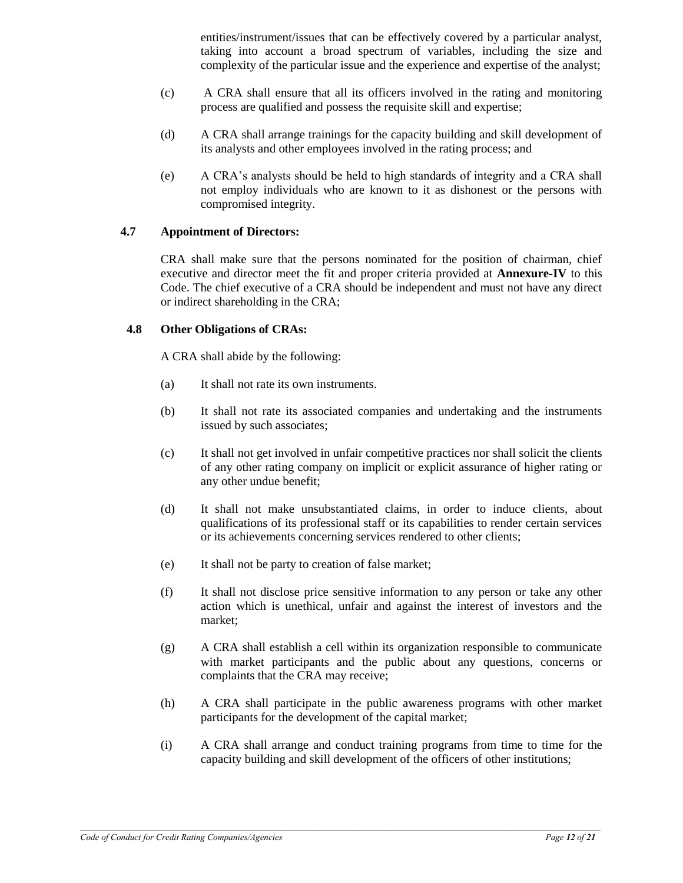entities/instrument/issues that can be effectively covered by a particular analyst, taking into account a broad spectrum of variables, including the size and complexity of the particular issue and the experience and expertise of the analyst;

- (c) A CRA shall ensure that all its officers involved in the rating and monitoring process are qualified and possess the requisite skill and expertise;
- (d) A CRA shall arrange trainings for the capacity building and skill development of its analysts and other employees involved in the rating process; and
- (e) A CRA's analysts should be held to high standards of integrity and a CRA shall not employ individuals who are known to it as dishonest or the persons with compromised integrity.

### **4.7 Appointment of Directors:**

CRA shall make sure that the persons nominated for the position of chairman, chief executive and director meet the fit and proper criteria provided at **Annexure-IV** to this Code. The chief executive of a CRA should be independent and must not have any direct or indirect shareholding in the CRA;

#### **4.8 Other Obligations of CRAs:**

A CRA shall abide by the following:

- (a) It shall not rate its own instruments.
- (b) It shall not rate its associated companies and undertaking and the instruments issued by such associates;
- (c) It shall not get involved in unfair competitive practices nor shall solicit the clients of any other rating company on implicit or explicit assurance of higher rating or any other undue benefit;
- (d) It shall not make unsubstantiated claims, in order to induce clients, about qualifications of its professional staff or its capabilities to render certain services or its achievements concerning services rendered to other clients;
- (e) It shall not be party to creation of false market;
- (f) It shall not disclose price sensitive information to any person or take any other action which is unethical, unfair and against the interest of investors and the market;
- (g) A CRA shall establish a cell within its organization responsible to communicate with market participants and the public about any questions, concerns or complaints that the CRA may receive;
- (h) A CRA shall participate in the public awareness programs with other market participants for the development of the capital market;
- (i) A CRA shall arrange and conduct training programs from time to time for the capacity building and skill development of the officers of other institutions;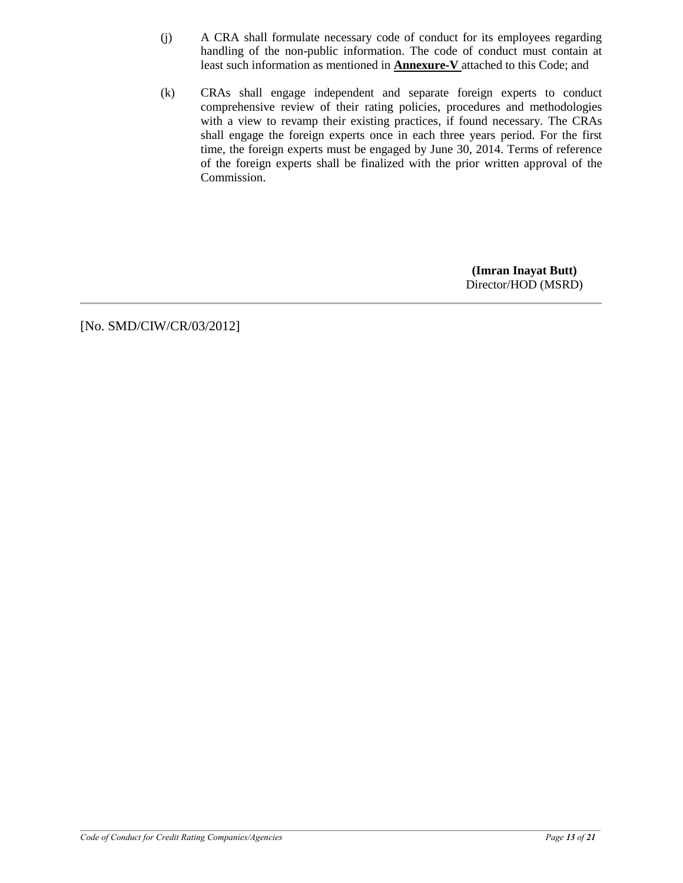- (j) A CRA shall formulate necessary code of conduct for its employees regarding handling of the non-public information. The code of conduct must contain at least such information as mentioned in **Annexure-V** attached to this Code; and
- (k) CRAs shall engage independent and separate foreign experts to conduct comprehensive review of their rating policies, procedures and methodologies with a view to revamp their existing practices, if found necessary. The CRAs shall engage the foreign experts once in each three years period. For the first time, the foreign experts must be engaged by June 30, 2014. Terms of reference of the foreign experts shall be finalized with the prior written approval of the Commission.

**(Imran Inayat Butt)** Director/HOD (MSRD)

[No. SMD/CIW/CR/03/2012]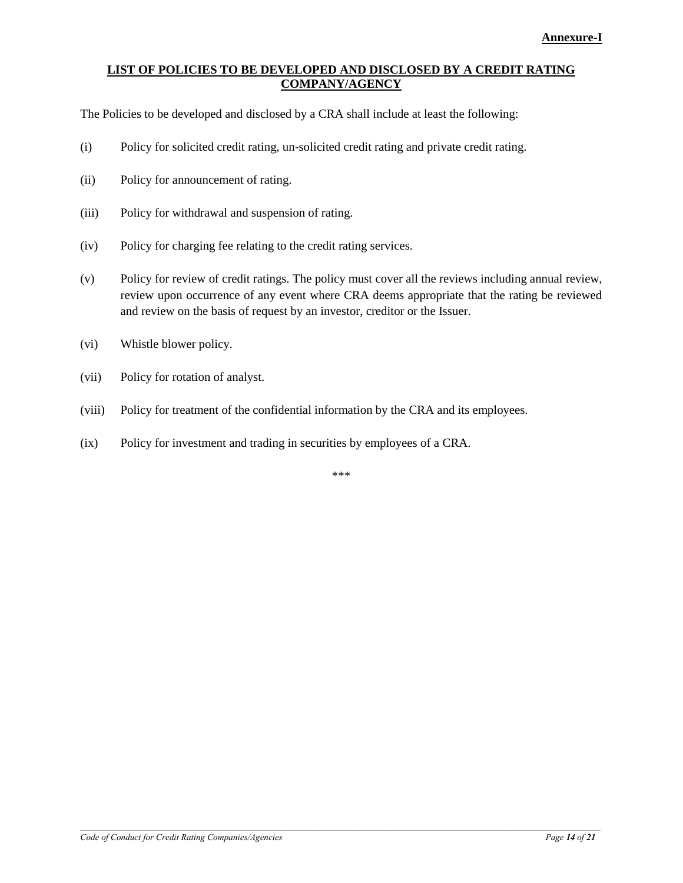### **LIST OF POLICIES TO BE DEVELOPED AND DISCLOSED BY A CREDIT RATING COMPANY/AGENCY**

The Policies to be developed and disclosed by a CRA shall include at least the following:

- (i) Policy for solicited credit rating, un-solicited credit rating and private credit rating.
- (ii) Policy for announcement of rating.
- (iii) Policy for withdrawal and suspension of rating.
- (iv) Policy for charging fee relating to the credit rating services.
- (v) Policy for review of credit ratings. The policy must cover all the reviews including annual review, review upon occurrence of any event where CRA deems appropriate that the rating be reviewed and review on the basis of request by an investor, creditor or the Issuer.
- (vi) Whistle blower policy.
- (vii) Policy for rotation of analyst.
- (viii) Policy for treatment of the confidential information by the CRA and its employees.
- (ix) Policy for investment and trading in securities by employees of a CRA.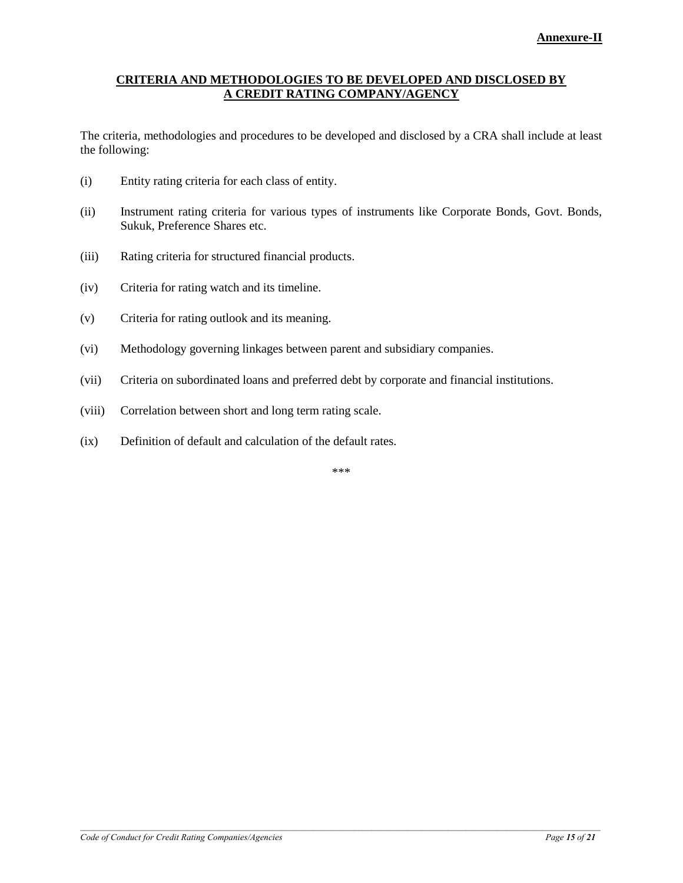### **CRITERIA AND METHODOLOGIES TO BE DEVELOPED AND DISCLOSED BY A CREDIT RATING COMPANY/AGENCY**

The criteria, methodologies and procedures to be developed and disclosed by a CRA shall include at least the following:

- (i) Entity rating criteria for each class of entity.
- (ii) Instrument rating criteria for various types of instruments like Corporate Bonds, Govt. Bonds, Sukuk, Preference Shares etc.
- (iii) Rating criteria for structured financial products.
- (iv) Criteria for rating watch and its timeline.
- (v) Criteria for rating outlook and its meaning.
- (vi) Methodology governing linkages between parent and subsidiary companies.
- (vii) Criteria on subordinated loans and preferred debt by corporate and financial institutions.
- (viii) Correlation between short and long term rating scale.
- (ix) Definition of default and calculation of the default rates.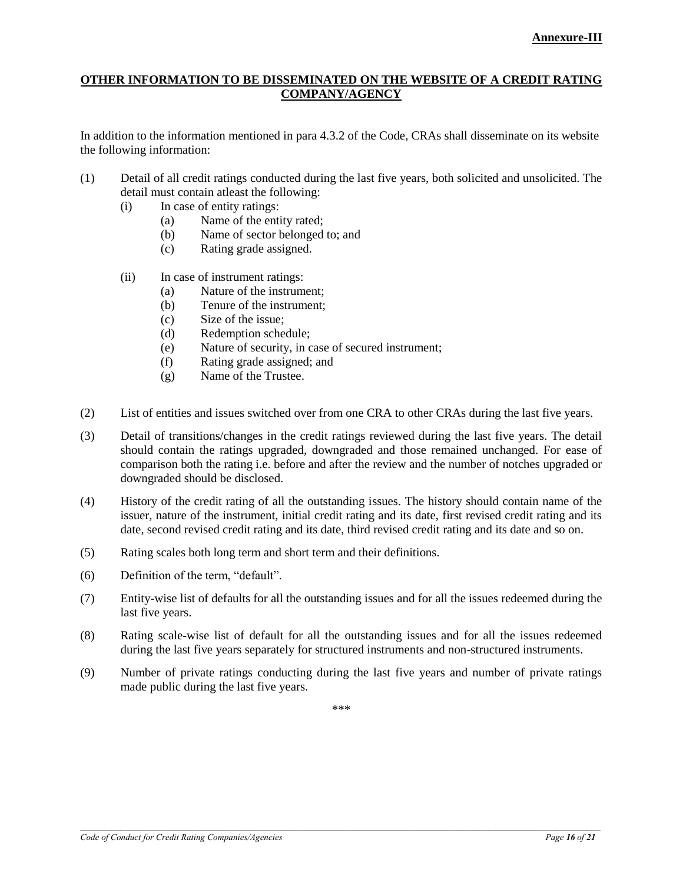### **OTHER INFORMATION TO BE DISSEMINATED ON THE WEBSITE OF A CREDIT RATING COMPANY/AGENCY**

In addition to the information mentioned in para 4.3.2 of the Code, CRAs shall disseminate on its website the following information:

- (1) Detail of all credit ratings conducted during the last five years, both solicited and unsolicited. The detail must contain atleast the following:
	- (i) In case of entity ratings:
		- (a) Name of the entity rated;
		- (b) Name of sector belonged to; and
		- (c) Rating grade assigned.
	- (ii) In case of instrument ratings:
		- (a) Nature of the instrument;
		- (b) Tenure of the instrument;
		- (c) Size of the issue;
		- (d) Redemption schedule;
		- (e) Nature of security, in case of secured instrument;
		- (f) Rating grade assigned; and
		- (g) Name of the Trustee.
- (2) List of entities and issues switched over from one CRA to other CRAs during the last five years.
- (3) Detail of transitions/changes in the credit ratings reviewed during the last five years. The detail should contain the ratings upgraded, downgraded and those remained unchanged. For ease of comparison both the rating i.e. before and after the review and the number of notches upgraded or downgraded should be disclosed.
- (4) History of the credit rating of all the outstanding issues. The history should contain name of the issuer, nature of the instrument, initial credit rating and its date, first revised credit rating and its date, second revised credit rating and its date, third revised credit rating and its date and so on.
- (5) Rating scales both long term and short term and their definitions.
- (6) Definition of the term, "default".
- (7) Entity-wise list of defaults for all the outstanding issues and for all the issues redeemed during the last five years.
- (8) Rating scale-wise list of default for all the outstanding issues and for all the issues redeemed during the last five years separately for structured instruments and non-structured instruments.
- (9) Number of private ratings conducting during the last five years and number of private ratings made public during the last five years.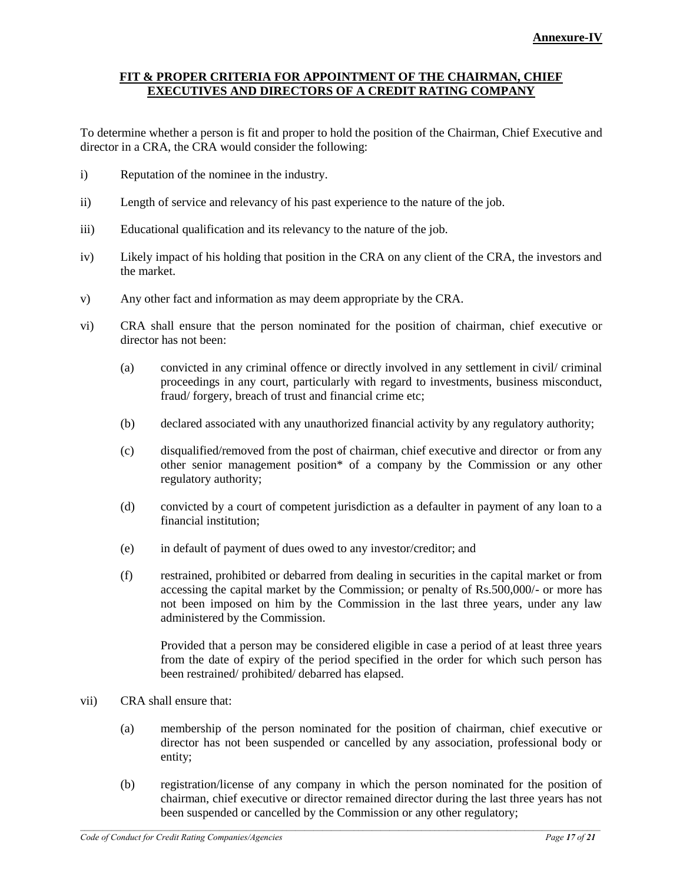### **FIT & PROPER CRITERIA FOR APPOINTMENT OF THE CHAIRMAN, CHIEF EXECUTIVES AND DIRECTORS OF A CREDIT RATING COMPANY**

To determine whether a person is fit and proper to hold the position of the Chairman, Chief Executive and director in a CRA, the CRA would consider the following:

- i) Reputation of the nominee in the industry.
- ii) Length of service and relevancy of his past experience to the nature of the job.
- iii) Educational qualification and its relevancy to the nature of the job.
- iv) Likely impact of his holding that position in the CRA on any client of the CRA, the investors and the market.
- v) Any other fact and information as may deem appropriate by the CRA.
- vi) CRA shall ensure that the person nominated for the position of chairman, chief executive or director has not been:
	- (a) convicted in any criminal offence or directly involved in any settlement in civil/ criminal proceedings in any court, particularly with regard to investments, business misconduct, fraud/ forgery, breach of trust and financial crime etc;
	- (b) declared associated with any unauthorized financial activity by any regulatory authority;
	- (c) disqualified/removed from the post of chairman, chief executive and director or from any other senior management position\* of a company by the Commission or any other regulatory authority;
	- (d) convicted by a court of competent jurisdiction as a defaulter in payment of any loan to a financial institution;
	- (e) in default of payment of dues owed to any investor/creditor; and
	- (f) restrained, prohibited or debarred from dealing in securities in the capital market or from accessing the capital market by the Commission; or penalty of Rs.500,000/- or more has not been imposed on him by the Commission in the last three years, under any law administered by the Commission.

Provided that a person may be considered eligible in case a period of at least three years from the date of expiry of the period specified in the order for which such person has been restrained/ prohibited/ debarred has elapsed.

- vii) CRA shall ensure that:
	- (a) membership of the person nominated for the position of chairman, chief executive or director has not been suspended or cancelled by any association, professional body or entity;
	- (b) registration/license of any company in which the person nominated for the position of chairman, chief executive or director remained director during the last three years has not been suspended or cancelled by the Commission or any other regulatory;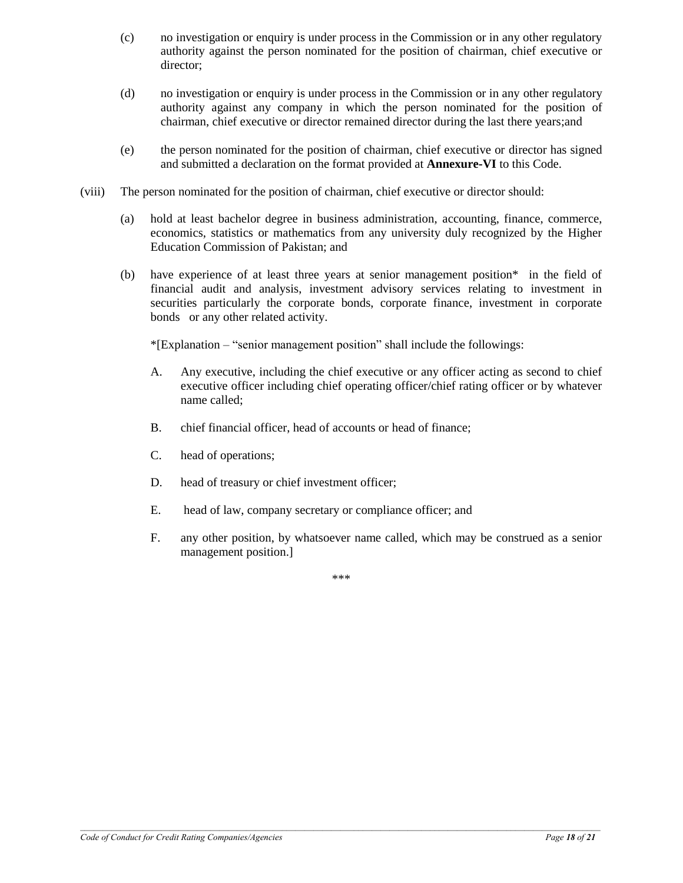- (c) no investigation or enquiry is under process in the Commission or in any other regulatory authority against the person nominated for the position of chairman, chief executive or director;
- (d) no investigation or enquiry is under process in the Commission or in any other regulatory authority against any company in which the person nominated for the position of chairman, chief executive or director remained director during the last there years;and
- (e) the person nominated for the position of chairman, chief executive or director has signed and submitted a declaration on the format provided at **Annexure-VI** to this Code.
- (viii) The person nominated for the position of chairman, chief executive or director should:
	- (a) hold at least bachelor degree in business administration, accounting, finance, commerce, economics, statistics or mathematics from any university duly recognized by the Higher Education Commission of Pakistan; and
	- (b) have experience of at least three years at senior management position\* in the field of financial audit and analysis, investment advisory services relating to investment in securities particularly the corporate bonds, corporate finance, investment in corporate bonds or any other related activity.

\*[Explanation – "senior management position" shall include the followings:

- A. Any executive, including the chief executive or any officer acting as second to chief executive officer including chief operating officer/chief rating officer or by whatever name called;
- B. chief financial officer, head of accounts or head of finance;
- C. head of operations;
- D. head of treasury or chief investment officer;
- E. head of law, company secretary or compliance officer; and
- F. any other position, by whatsoever name called, which may be construed as a senior management position.]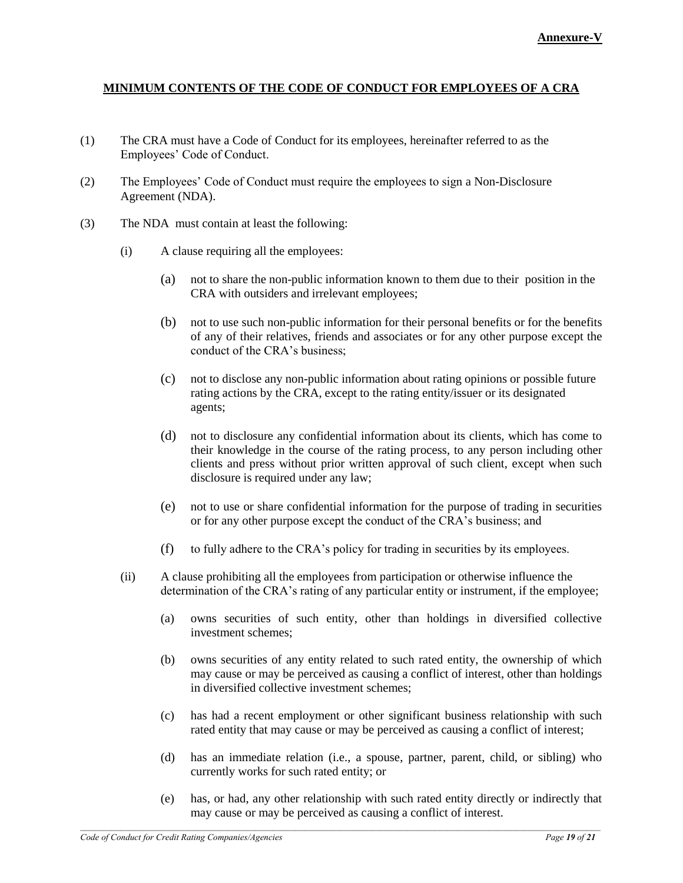### **MINIMUM CONTENTS OF THE CODE OF CONDUCT FOR EMPLOYEES OF A CRA**

- (1) The CRA must have a Code of Conduct for its employees, hereinafter referred to as the Employees' Code of Conduct.
- (2) The Employees' Code of Conduct must require the employees to sign a Non-Disclosure Agreement (NDA).
- (3) The NDA must contain at least the following:
	- (i) A clause requiring all the employees:
		- (a) not to share the non-public information known to them due to their position in the CRA with outsiders and irrelevant employees;
		- (b) not to use such non-public information for their personal benefits or for the benefits of any of their relatives, friends and associates or for any other purpose except the conduct of the CRA's business;
		- (c) not to disclose any non-public information about rating opinions or possible future rating actions by the CRA, except to the rating entity/issuer or its designated agents;
		- (d) not to disclosure any confidential information about its clients, which has come to their knowledge in the course of the rating process, to any person including other clients and press without prior written approval of such client, except when such disclosure is required under any law;
		- (e) not to use or share confidential information for the purpose of trading in securities or for any other purpose except the conduct of the CRA's business; and
		- (f) to fully adhere to the CRA's policy for trading in securities by its employees.
	- (ii) A clause prohibiting all the employees from participation or otherwise influence the determination of the CRA's rating of any particular entity or instrument, if the employee;
		- (a) owns securities of such entity, other than holdings in diversified collective investment schemes;
		- (b) owns securities of any entity related to such rated entity, the ownership of which may cause or may be perceived as causing a conflict of interest, other than holdings in diversified collective investment schemes;
		- (c) has had a recent employment or other significant business relationship with such rated entity that may cause or may be perceived as causing a conflict of interest;
		- (d) has an immediate relation (i.e., a spouse, partner, parent, child, or sibling) who currently works for such rated entity; or
		- (e) has, or had, any other relationship with such rated entity directly or indirectly that may cause or may be perceived as causing a conflict of interest.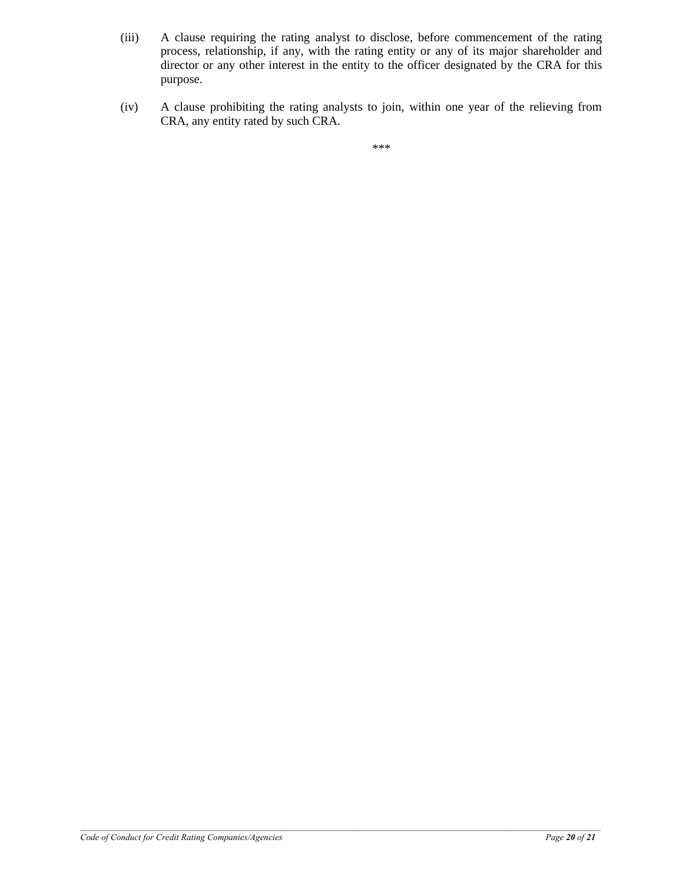- (iii) A clause requiring the rating analyst to disclose, before commencement of the rating process, relationship, if any, with the rating entity or any of its major shareholder and director or any other interest in the entity to the officer designated by the CRA for this purpose.
- (iv) A clause prohibiting the rating analysts to join, within one year of the relieving from CRA, any entity rated by such CRA.